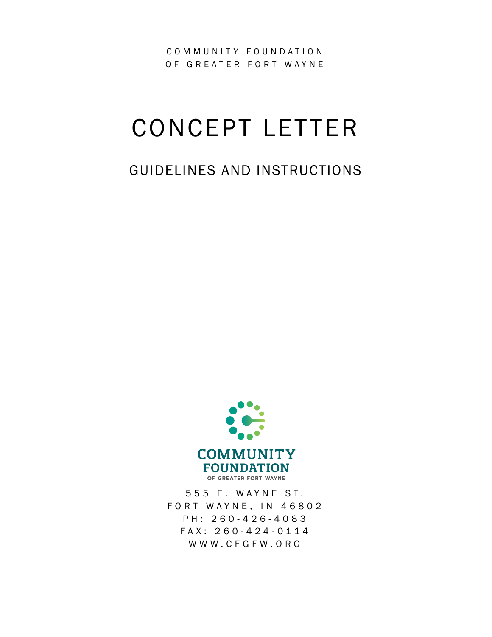COMMUNITY FOUNDATION OF GREATER FORT WAYNE

# CONCEPT LETTER

## GUIDELINES AND INSTRUCTIONS



555 E. WAYNE ST. FORT WAYNE, IN 46802 PH: 260 - 426 - 4083 FAX: 260 - 424 - 0114 WWW.CFGFW.ORG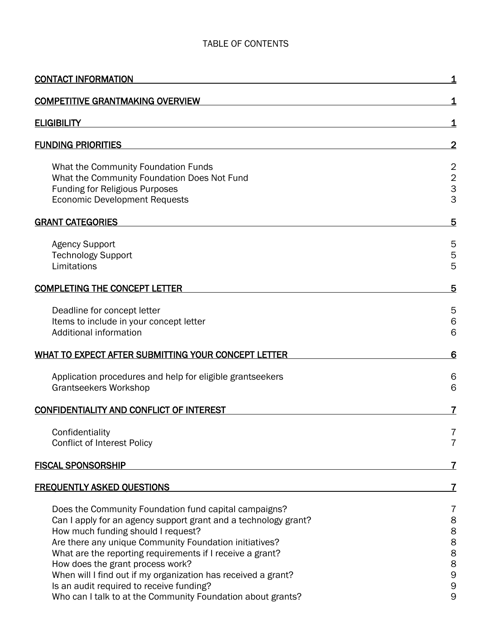## TABLE OF CONTENTS

| <b>CONTACT INFORMATION</b>                                                                                                                                                                                                                                                                                                                                                                                                                                                                            |                                                                                    |
|-------------------------------------------------------------------------------------------------------------------------------------------------------------------------------------------------------------------------------------------------------------------------------------------------------------------------------------------------------------------------------------------------------------------------------------------------------------------------------------------------------|------------------------------------------------------------------------------------|
| <b>COMPETITIVE GRANTMAKING OVERVIEW</b>                                                                                                                                                                                                                                                                                                                                                                                                                                                               | 1                                                                                  |
| <b>ELIGIBILITY</b>                                                                                                                                                                                                                                                                                                                                                                                                                                                                                    | 1                                                                                  |
| <b>FUNDING PRIORITIES</b>                                                                                                                                                                                                                                                                                                                                                                                                                                                                             | $\overline{2}$                                                                     |
| What the Community Foundation Funds<br>What the Community Foundation Does Not Fund<br><b>Funding for Religious Purposes</b><br><b>Economic Development Requests</b>                                                                                                                                                                                                                                                                                                                                   | $\overline{2}$<br>$\overline{c}$<br>3<br>3                                         |
| <b>GRANT CATEGORIES</b>                                                                                                                                                                                                                                                                                                                                                                                                                                                                               | 5                                                                                  |
| <b>Agency Support</b><br><b>Technology Support</b><br>Limitations                                                                                                                                                                                                                                                                                                                                                                                                                                     | 5<br>5<br>5                                                                        |
| <b>COMPLETING THE CONCEPT LETTER</b>                                                                                                                                                                                                                                                                                                                                                                                                                                                                  | 5                                                                                  |
| Deadline for concept letter<br>Items to include in your concept letter<br>Additional information                                                                                                                                                                                                                                                                                                                                                                                                      | 5<br>$\,$ 6<br>6                                                                   |
| WHAT TO EXPECT AFTER SUBMITTING YOUR CONCEPT LETTER                                                                                                                                                                                                                                                                                                                                                                                                                                                   | 6                                                                                  |
| Application procedures and help for eligible grantseekers<br><b>Grantseekers Workshop</b>                                                                                                                                                                                                                                                                                                                                                                                                             | 6<br>6                                                                             |
| <b>CONFIDENTIALITY AND CONFLICT OF INTEREST</b>                                                                                                                                                                                                                                                                                                                                                                                                                                                       |                                                                                    |
| Confidentiality<br><b>Conflict of Interest Policy</b>                                                                                                                                                                                                                                                                                                                                                                                                                                                 | $\prime$<br>$\overline{7}$                                                         |
| <b>FISCAL SPONSORSHIP</b>                                                                                                                                                                                                                                                                                                                                                                                                                                                                             | 7                                                                                  |
| <b>FREQUENTLY ASKED QUESTIONS</b>                                                                                                                                                                                                                                                                                                                                                                                                                                                                     | 7                                                                                  |
| Does the Community Foundation fund capital campaigns?<br>Can I apply for an agency support grant and a technology grant?<br>How much funding should I request?<br>Are there any unique Community Foundation initiatives?<br>What are the reporting requirements if I receive a grant?<br>How does the grant process work?<br>When will I find out if my organization has received a grant?<br>Is an audit required to receive funding?<br>Who can I talk to at the Community Foundation about grants? | 7<br>8<br>8<br>8<br>$\begin{array}{c} 8 \\ 8 \end{array}$<br>9<br>$\mathsf 9$<br>9 |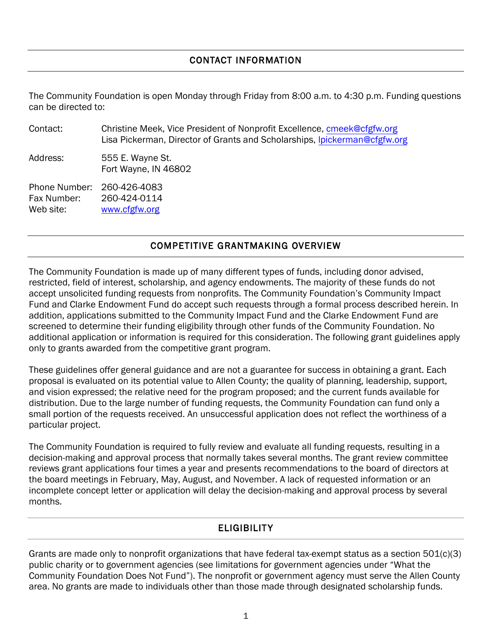#### CONTACT INFORMATION

<span id="page-2-0"></span>The Community Foundation is open Monday through Friday from 8:00 a.m. to 4:30 p.m. Funding questions can be directed to:

| Contact:                                  | Christine Meek, Vice President of Nonprofit Excellence, cmeek@cfgfw.org<br>Lisa Pickerman, Director of Grants and Scholarships, Ipickerman@cfgfw.org |
|-------------------------------------------|------------------------------------------------------------------------------------------------------------------------------------------------------|
| Address:                                  | 555 E. Wayne St.<br>Fort Wayne, IN 46802                                                                                                             |
| Phone Number:<br>Fax Number:<br>Web site: | 260-426-4083<br>260-424-0114<br>www.cfgfw.org                                                                                                        |

## COMPETITIVE GRANTMAKING OVERVIEW

<span id="page-2-1"></span>The Community Foundation is made up of many different types of funds, including donor advised, restricted, field of interest, scholarship, and agency endowments. The majority of these funds do not accept unsolicited funding requests from nonprofits. The Community Foundation's Community Impact Fund and Clarke Endowment Fund do accept such requests through a formal process described herein. In addition, applications submitted to the Community Impact Fund and the Clarke Endowment Fund are screened to determine their funding eligibility through other funds of the Community Foundation. No additional application or information is required for this consideration. The following grant guidelines apply only to grants awarded from the competitive grant program.

These guidelines offer general guidance and are not a guarantee for success in obtaining a grant. Each proposal is evaluated on its potential value to Allen County; the quality of planning, leadership, support, and vision expressed; the relative need for the program proposed; and the current funds available for distribution. Due to the large number of funding requests, the Community Foundation can fund only a small portion of the requests received. An unsuccessful application does not reflect the worthiness of a particular project.

The Community Foundation is required to fully review and evaluate all funding requests, resulting in a decision-making and approval process that normally takes several months. The grant review committee reviews grant applications four times a year and presents recommendations to the board of directors at the board meetings in February, May, August, and November. A lack of requested information or an incomplete concept letter or application will delay the decision-making and approval process by several months.

## **ELIGIBILITY**

<span id="page-2-2"></span>Grants are made only to nonprofit organizations that have federal tax-exempt status as a section 501(c)(3) public charity or to government agencies (see limitations for government agencies under "What the Community Foundation Does Not Fund"). The nonprofit or government agency must serve the Allen County area. No grants are made to individuals other than those made through designated scholarship funds.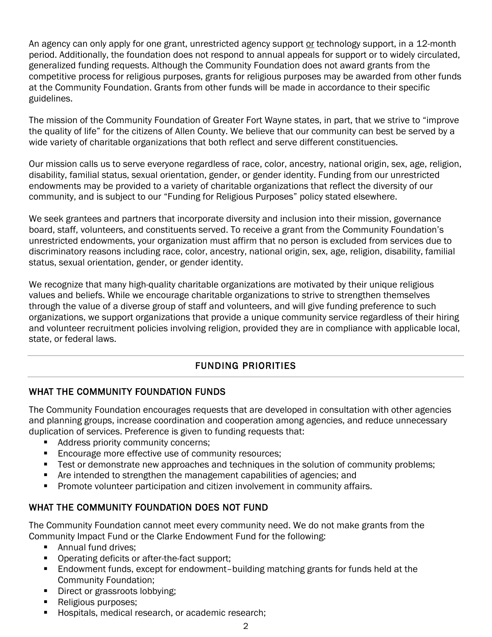An agency can only apply for one grant, unrestricted agency support or technology support, in a 12-month period. Additionally, the foundation does not respond to annual appeals for support or to widely circulated, generalized funding requests. Although the Community Foundation does not award grants from the competitive process for religious purposes, grants for religious purposes may be awarded from other funds at the Community Foundation. Grants from other funds will be made in accordance to their specific guidelines.

The mission of the Community Foundation of Greater Fort Wayne states, in part, that we strive to "improve the quality of life" for the citizens of Allen County. We believe that our community can best be served by a wide variety of charitable organizations that both reflect and serve different constituencies.

Our mission calls us to serve everyone regardless of race, color, ancestry, national origin, sex, age, religion, disability, familial status, sexual orientation, gender, or gender identity. Funding from our unrestricted endowments may be provided to a variety of charitable organizations that reflect the diversity of our community, and is subject to our "Funding for Religious Purposes" policy stated elsewhere.

We seek grantees and partners that incorporate diversity and inclusion into their mission, governance board, staff, volunteers, and constituents served. To receive a grant from the Community Foundation's unrestricted endowments, your organization must affirm that no person is excluded from services due to discriminatory reasons including race, color, ancestry, national origin, sex, age, religion, disability, familial status, sexual orientation, gender, or gender identity.

We recognize that many high-quality charitable organizations are motivated by their unique religious values and beliefs. While we encourage charitable organizations to strive to strengthen themselves through the value of a diverse group of staff and volunteers, and will give funding preference to such organizations, we support organizations that provide a unique community service regardless of their hiring and volunteer recruitment policies involving religion, provided they are in compliance with applicable local, state, or federal laws.

## FUNDING PRIORITIES

#### <span id="page-3-1"></span><span id="page-3-0"></span>WHAT THE COMMUNITY FOUNDATION FUNDS

The Community Foundation encourages requests that are developed in consultation with other agencies and planning groups, increase coordination and cooperation among agencies, and reduce unnecessary duplication of services. Preference is given to funding requests that:

- Address priority community concerns;
- **Encourage more effective use of community resources;**
- Test or demonstrate new approaches and techniques in the solution of community problems;
- Are intended to strengthen the management capabilities of agencies; and
- Promote volunteer participation and citizen involvement in community affairs.

#### <span id="page-3-2"></span>WHAT THE COMMUNITY FOUNDATION DOES NOT FUND

The Community Foundation cannot meet every community need. We do not make grants from the Community Impact Fund or the Clarke Endowment Fund for the following:

- **Annual fund drives;**
- **•** Operating deficits or after-the-fact support;
- Endowment funds, except for endowment-building matching grants for funds held at the Community Foundation;
- Direct or grassroots lobbying;
- Religious purposes;
- Hospitals, medical research, or academic research;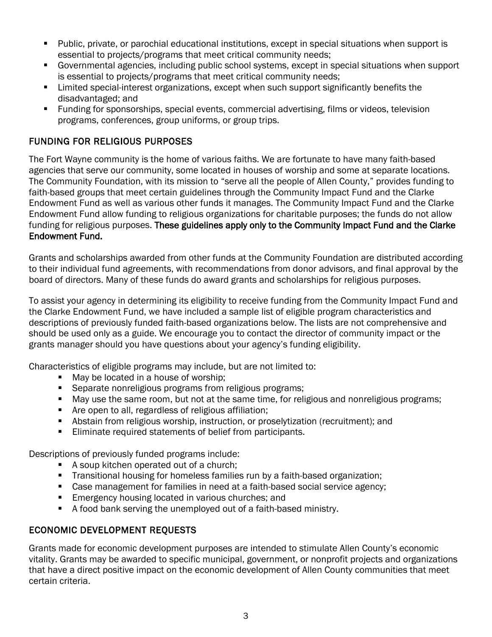- Public, private, or parochial educational institutions, except in special situations when support is essential to projects/programs that meet critical community needs;
- Governmental agencies, including public school systems, except in special situations when support is essential to projects/programs that meet critical community needs;
- **EXTER** Limited special-interest organizations, except when such support significantly benefits the disadvantaged; and
- **Funding for sponsorships, special events, commercial advertising, films or videos, television** programs, conferences, group uniforms, or group trips.

## <span id="page-4-0"></span>FUNDING FOR RELIGIOUS PURPOSES

The Fort Wayne community is the home of various faiths. We are fortunate to have many faith-based agencies that serve our community, some located in houses of worship and some at separate locations. The Community Foundation, with its mission to "serve all the people of Allen County," provides funding to faith-based groups that meet certain guidelines through the Community Impact Fund and the Clarke Endowment Fund as well as various other funds it manages. The Community Impact Fund and the Clarke Endowment Fund allow funding to religious organizations for charitable purposes; the funds do not allow funding for religious purposes. These guidelines apply only to the Community Impact Fund and the Clarke Endowment Fund.

Grants and scholarships awarded from other funds at the Community Foundation are distributed according to their individual fund agreements, with recommendations from donor advisors, and final approval by the board of directors. Many of these funds do award grants and scholarships for religious purposes.

To assist your agency in determining its eligibility to receive funding from the Community Impact Fund and the Clarke Endowment Fund, we have included a sample list of eligible program characteristics and descriptions of previously funded faith-based organizations below. The lists are not comprehensive and should be used only as a guide. We encourage you to contact the director of community impact or the grants manager should you have questions about your agency's funding eligibility.

Characteristics of eligible programs may include, but are not limited to:

- May be located in a house of worship;
- **Separate nonreligious programs from religious programs;**
- May use the same room, but not at the same time, for religious and nonreligious programs;
- **Are open to all, regardless of religious affiliation;**
- Abstain from religious worship, instruction, or proselytization (recruitment); and
- **Eliminate required statements of belief from participants.**

Descriptions of previously funded programs include:

- A soup kitchen operated out of a church;
- Transitional housing for homeless families run by a faith-based organization;
- **Case management for families in need at a faith-based social service agency;**
- **Emergency housing located in various churches; and**
- A food bank serving the unemployed out of a faith-based ministry.

#### <span id="page-4-1"></span>ECONOMIC DEVELOPMENT REQUESTS

Grants made for economic development purposes are intended to stimulate Allen County's economic vitality. Grants may be awarded to specific municipal, government, or nonprofit projects and organizations that have a direct positive impact on the economic development of Allen County communities that meet certain criteria.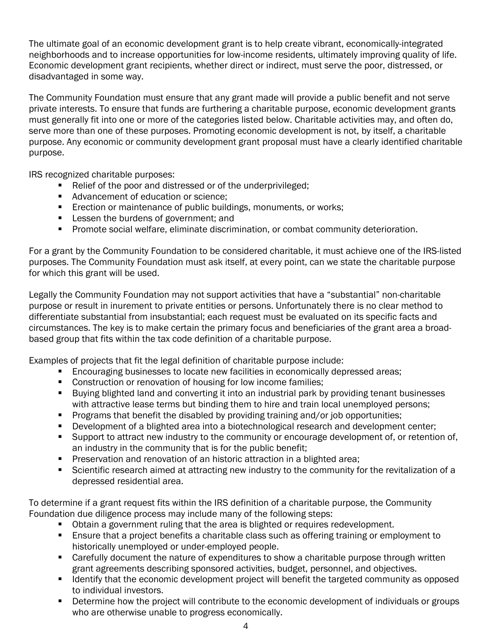The ultimate goal of an economic development grant is to help create vibrant, economically-integrated neighborhoods and to increase opportunities for low-income residents, ultimately improving quality of life. Economic development grant recipients, whether direct or indirect, must serve the poor, distressed, or disadvantaged in some way.

The Community Foundation must ensure that any grant made will provide a public benefit and not serve private interests. To ensure that funds are furthering a charitable purpose, economic development grants must generally fit into one or more of the categories listed below. Charitable activities may, and often do, serve more than one of these purposes. Promoting economic development is not, by itself, a charitable purpose. Any economic or community development grant proposal must have a clearly identified charitable purpose.

IRS recognized charitable purposes:

- Relief of the poor and distressed or of the underprivileged;
- Advancement of education or science;
- **Exection or maintenance of public buildings, monuments, or works;**
- **Lessen the burdens of government; and**
- **Promote social welfare, eliminate discrimination, or combat community deterioration.**

For a grant by the Community Foundation to be considered charitable, it must achieve one of the IRS-listed purposes. The Community Foundation must ask itself, at every point, can we state the charitable purpose for which this grant will be used.

Legally the Community Foundation may not support activities that have a "substantial" non-charitable purpose or result in inurement to private entities or persons. Unfortunately there is no clear method to differentiate substantial from insubstantial; each request must be evaluated on its specific facts and circumstances. The key is to make certain the primary focus and beneficiaries of the grant area a broadbased group that fits within the tax code definition of a charitable purpose.

Examples of projects that fit the legal definition of charitable purpose include:

- **Encouraging businesses to locate new facilities in economically depressed areas;**
- **Construction or renovation of housing for low income families;**
- **Buying blighted land and converting it into an industrial park by providing tenant businesses** with attractive lease terms but binding them to hire and train local unemployed persons;
- **Programs that benefit the disabled by providing training and/or job opportunities;**
- Development of a blighted area into a biotechnological research and development center;
- Support to attract new industry to the community or encourage development of, or retention of, an industry in the community that is for the public benefit;
- Preservation and renovation of an historic attraction in a blighted area;
- Scientific research aimed at attracting new industry to the community for the revitalization of a depressed residential area.

To determine if a grant request fits within the IRS definition of a charitable purpose, the Community Foundation due diligence process may include many of the following steps:

- Obtain a government ruling that the area is blighted or requires redevelopment.
- Ensure that a project benefits a charitable class such as offering training or employment to historically unemployed or under-employed people.
- **EXP** Carefully document the nature of expenditures to show a charitable purpose through written grant agreements describing sponsored activities, budget, personnel, and objectives.
- **If Identify that the economic development project will benefit the targeted community as opposed** to individual investors.
- Determine how the project will contribute to the economic development of individuals or groups who are otherwise unable to progress economically.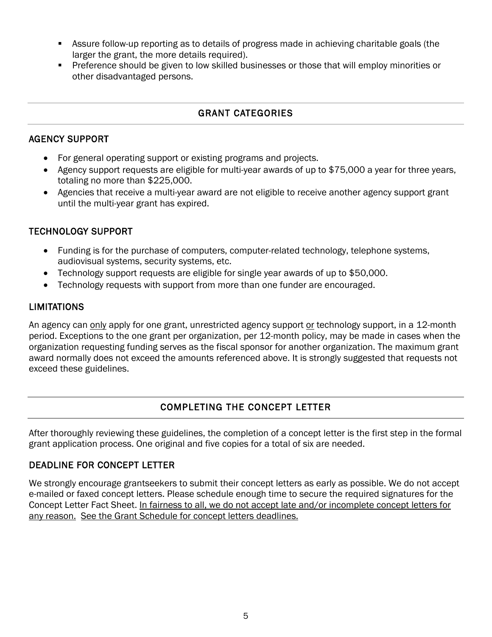- Assure follow-up reporting as to details of progress made in achieving charitable goals (the larger the grant, the more details required).
- **Preference should be given to low skilled businesses or those that will employ minorities or** other disadvantaged persons.

#### GRANT CATEGORIES

#### <span id="page-6-1"></span><span id="page-6-0"></span>AGENCY SUPPORT

- For general operating support or existing programs and projects.
- Agency support requests are eligible for multi-year awards of up to \$75,000 a year for three years, totaling no more than \$225,000.
- Agencies that receive a multi-year award are not eligible to receive another agency support grant until the multi-year grant has expired.

#### <span id="page-6-2"></span>TECHNOLOGY SUPPORT

- Funding is for the purchase of computers, computer-related technology, telephone systems, audiovisual systems, security systems, etc.
- Technology support requests are eligible for single year awards of up to \$50,000.
- Technology requests with support from more than one funder are encouraged.

#### <span id="page-6-3"></span>**LIMITATIONS**

An agency can only apply for one grant, unrestricted agency support or technology support, in a 12-month period. Exceptions to the one grant per organization, per 12-month policy, may be made in cases when the organization requesting funding serves as the fiscal sponsor for another organization. The maximum grant award normally does not exceed the amounts referenced above. It is strongly suggested that requests not exceed these guidelines.

## COMPLETING THE CONCEPT LETTER

<span id="page-6-4"></span>After thoroughly reviewing these guidelines, the completion of a concept letter is the first step in the formal grant application process. One original and five copies for a total of six are needed.

#### <span id="page-6-5"></span>DEADLINE FOR CONCEPT LETTER

We strongly encourage grantseekers to submit their concept letters as early as possible. We do not accept e-mailed or faxed concept letters. Please schedule enough time to secure the required signatures for the Concept Letter Fact Sheet. In fairness to all, we do not accept late and/or incomplete concept letters for any reason. See the Grant Schedule for concept letters deadlines.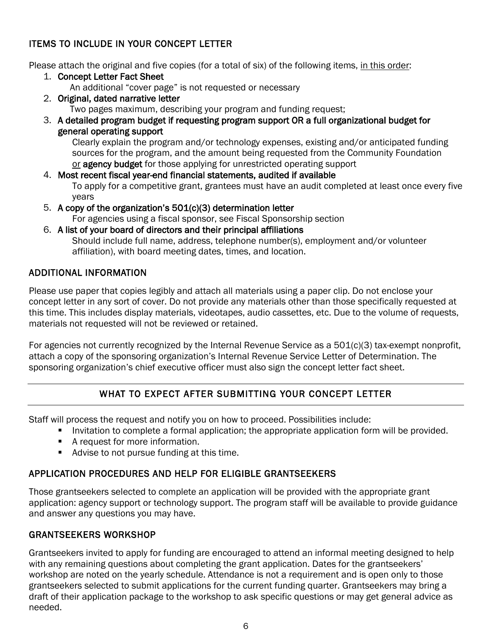## <span id="page-7-0"></span>ITEMS TO INCLUDE IN YOUR CONCEPT LETTER

Please attach the original and five copies (for a total of six) of the following items, in this order:

- 1. Concept Letter Fact Sheet An additional "cover page" is not requested or necessary
- 2. Original, dated narrative letter Two pages maximum, describing your program and funding request;
- 3. A detailed program budget if requesting program support OR a full organizational budget for general operating support

Clearly explain the program and/or technology expenses, existing and/or anticipated funding sources for the program, and the amount being requested from the Community Foundation or agency budget for those applying for unrestricted operating support

- 4. Most recent fiscal year-end financial statements, audited if available To apply for a competitive grant, grantees must have an audit completed at least once every five years
- 5. A copy of the organization's 501(c)(3) determination letter For agencies using a fiscal sponsor, see Fiscal Sponsorship section
- 6. A list of your board of directors and their principal affiliations Should include full name, address, telephone number(s), employment and/or volunteer affiliation), with board meeting dates, times, and location.

## <span id="page-7-1"></span>ADDITIONAL INFORMATION

Please use paper that copies legibly and attach all materials using a paper clip. Do not enclose your concept letter in any sort of cover. Do not provide any materials other than those specifically requested at this time. This includes display materials, videotapes, audio cassettes, etc. Due to the volume of requests, materials not requested will not be reviewed or retained.

For agencies not currently recognized by the Internal Revenue Service as a 501(c)(3) tax-exempt nonprofit, attach a copy of the sponsoring organization's Internal Revenue Service Letter of Determination. The sponsoring organization's chief executive officer must also sign the concept letter fact sheet.

## WHAT TO EXPECT AFTER SUBMITTING YOUR CONCEPT LETTER

<span id="page-7-2"></span>Staff will process the request and notify you on how to proceed. Possibilities include:

- **Invitation to complete a formal application; the appropriate application form will be provided.**
- **A** request for more information.
- Advise to not pursue funding at this time.

## <span id="page-7-3"></span>APPLICATION PROCEDURES AND HELP FOR ELIGIBLE GRANTSEEKERS

Those grantseekers selected to complete an application will be provided with the appropriate grant application: agency support or technology support. The program staff will be available to provide guidance and answer any questions you may have.

## <span id="page-7-4"></span>GRANTSEEKERS WORKSHOP

Grantseekers invited to apply for funding are encouraged to attend an informal meeting designed to help with any remaining questions about completing the grant application. Dates for the grantseekers' workshop are noted on the yearly schedule. Attendance is not a requirement and is open only to those grantseekers selected to submit applications for the current funding quarter. Grantseekers may bring a draft of their application package to the workshop to ask specific questions or may get general advice as needed.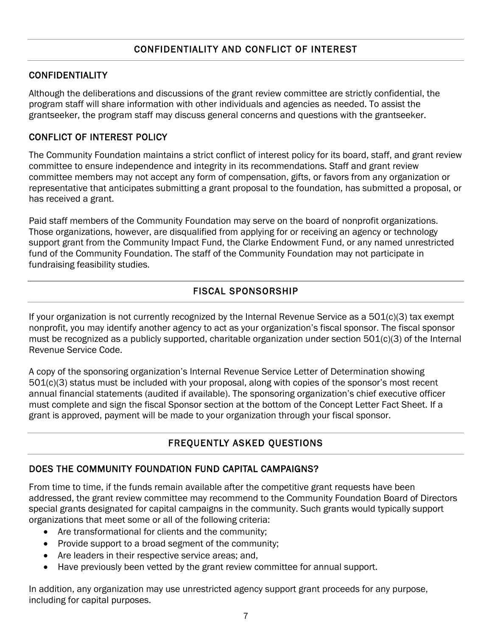## <span id="page-8-1"></span><span id="page-8-0"></span>CONFIDENTIALITY

Although the deliberations and discussions of the grant review committee are strictly confidential, the program staff will share information with other individuals and agencies as needed. To assist the grantseeker, the program staff may discuss general concerns and questions with the grantseeker.

## <span id="page-8-2"></span>CONFLICT OF INTEREST POLICY

The Community Foundation maintains a strict conflict of interest policy for its board, staff, and grant review committee to ensure independence and integrity in its recommendations. Staff and grant review committee members may not accept any form of compensation, gifts, or favors from any organization or representative that anticipates submitting a grant proposal to the foundation, has submitted a proposal, or has received a grant.

Paid staff members of the Community Foundation may serve on the board of nonprofit organizations. Those organizations, however, are disqualified from applying for or receiving an agency or technology support grant from the Community Impact Fund, the Clarke Endowment Fund, or any named unrestricted fund of the Community Foundation. The staff of the Community Foundation may not participate in fundraising feasibility studies.

## FISCAL SPONSORSHIP

<span id="page-8-3"></span>If your organization is not currently recognized by the Internal Revenue Service as a 501(c)(3) tax exempt nonprofit, you may identify another agency to act as your organization's fiscal sponsor. The fiscal sponsor must be recognized as a publicly supported, charitable organization under section 501(c)(3) of the Internal Revenue Service Code.

A copy of the sponsoring organization's Internal Revenue Service Letter of Determination showing 501(c)(3) status must be included with your proposal, along with copies of the sponsor's most recent annual financial statements (audited if available). The sponsoring organization's chief executive officer must complete and sign the fiscal Sponsor section at the bottom of the Concept Letter Fact Sheet. If a grant is approved, payment will be made to your organization through your fiscal sponsor.

## FREQUENTLY ASKED QUESTIONS

## <span id="page-8-5"></span><span id="page-8-4"></span>DOES THE COMMUNITY FOUNDATION FUND CAPITAL CAMPAIGNS?

From time to time, if the funds remain available after the competitive grant requests have been addressed, the grant review committee may recommend to the Community Foundation Board of Directors special grants designated for capital campaigns in the community. Such grants would typically support organizations that meet some or all of the following criteria:

- Are transformational for clients and the community;
- Provide support to a broad segment of the community;
- Are leaders in their respective service areas; and,
- Have previously been vetted by the grant review committee for annual support.

In addition, any organization may use unrestricted agency support grant proceeds for any purpose, including for capital purposes.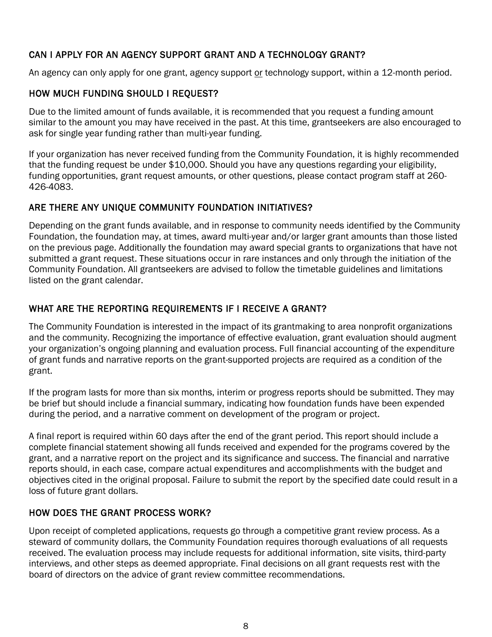## <span id="page-9-0"></span>CAN I APPLY FOR AN AGENCY SUPPORT GRANT AND A TECHNOLOGY GRANT?

An agency can only apply for one grant, agency support or technology support, within a 12-month period.

## <span id="page-9-1"></span>HOW MUCH FUNDING SHOULD I REQUEST?

Due to the limited amount of funds available, it is recommended that you request a funding amount similar to the amount you may have received in the past. At this time, grantseekers are also encouraged to ask for single year funding rather than multi-year funding.

If your organization has never received funding from the Community Foundation, it is highly recommended that the funding request be under \$10,000. Should you have any questions regarding your eligibility, funding opportunities, grant request amounts, or other questions, please contact program staff at 260- 426-4083.

## <span id="page-9-2"></span>ARE THERE ANY UNIQUE COMMUNITY FOUNDATION INITIATIVES?

Depending on the grant funds available, and in response to community needs identified by the Community Foundation, the foundation may, at times, award multi-year and/or larger grant amounts than those listed on the previous page. Additionally the foundation may award special grants to organizations that have not submitted a grant request. These situations occur in rare instances and only through the initiation of the Community Foundation. All grantseekers are advised to follow the timetable guidelines and limitations listed on the grant calendar.

## <span id="page-9-3"></span>WHAT ARE THE REPORTING REQUIREMENTS IF I RECEIVE A GRANT?

The Community Foundation is interested in the impact of its grantmaking to area nonprofit organizations and the community. Recognizing the importance of effective evaluation, grant evaluation should augment your organization's ongoing planning and evaluation process. Full financial accounting of the expenditure of grant funds and narrative reports on the grant-supported projects are required as a condition of the grant.

If the program lasts for more than six months, interim or progress reports should be submitted. They may be brief but should include a financial summary, indicating how foundation funds have been expended during the period, and a narrative comment on development of the program or project.

A final report is required within 60 days after the end of the grant period. This report should include a complete financial statement showing all funds received and expended for the programs covered by the grant, and a narrative report on the project and its significance and success. The financial and narrative reports should, in each case, compare actual expenditures and accomplishments with the budget and objectives cited in the original proposal. Failure to submit the report by the specified date could result in a loss of future grant dollars.

## <span id="page-9-4"></span>HOW DOES THE GRANT PROCESS WORK?

Upon receipt of completed applications, requests go through a competitive grant review process. As a steward of community dollars, the Community Foundation requires thorough evaluations of all requests received. The evaluation process may include requests for additional information, site visits, third-party interviews, and other steps as deemed appropriate. Final decisions on all grant requests rest with the board of directors on the advice of grant review committee recommendations.